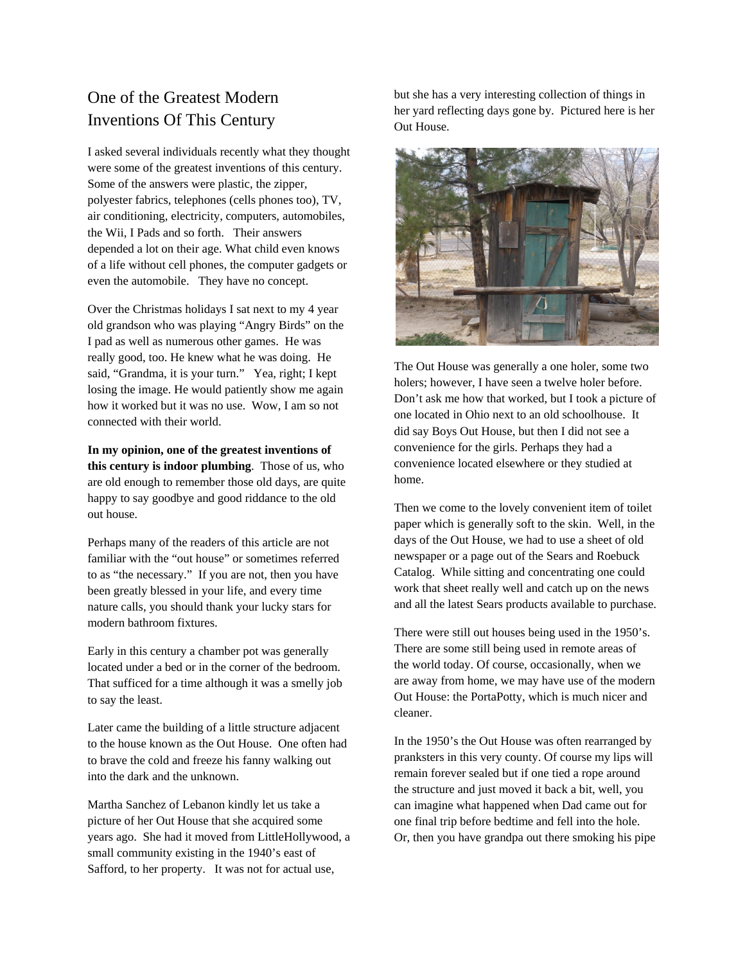## One of the Greatest Modern Inventions Of This Century

I asked several individuals recently what they thought were some of the greatest inventions of this century. Some of the answers were plastic, the zipper, polyester fabrics, telephones (cells phones too), TV, air conditioning, electricity, computers, automobiles, the Wii, I Pads and so forth. Their answers depended a lot on their age. What child even knows of a life without cell phones, the computer gadgets or even the automobile. They have no concept.

Over the Christmas holidays I sat next to my 4 year old grandson who was playing "Angry Birds" on the I pad as well as numerous other games. He was really good, too. He knew what he was doing. He said, "Grandma, it is your turn." Yea, right; I kept losing the image. He would patiently show me again how it worked but it was no use. Wow, I am so not connected with their world.

**In my opinion, one of the greatest inventions of this century is indoor plumbing**. Those of us, who are old enough to remember those old days, are quite happy to say goodbye and good riddance to the old out house.

Perhaps many of the readers of this article are not familiar with the "out house" or sometimes referred to as "the necessary." If you are not, then you have been greatly blessed in your life, and every time nature calls, you should thank your lucky stars for modern bathroom fixtures.

Early in this century a chamber pot was generally located under a bed or in the corner of the bedroom. That sufficed for a time although it was a smelly job to say the least.

Later came the building of a little structure adjacent to the house known as the Out House. One often had to brave the cold and freeze his fanny walking out into the dark and the unknown.

Martha Sanchez of Lebanon kindly let us take a picture of her Out House that she acquired some years ago. She had it moved from LittleHollywood, a small community existing in the 1940's east of Safford, to her property. It was not for actual use,

but she has a very interesting collection of things in her yard reflecting days gone by. Pictured here is her Out House.



The Out House was generally a one holer, some two holers; however, I have seen a twelve holer before. Don't ask me how that worked, but I took a picture of one located in Ohio next to an old schoolhouse. It did say Boys Out House, but then I did not see a convenience for the girls. Perhaps they had a convenience located elsewhere or they studied at home.

Then we come to the lovely convenient item of toilet paper which is generally soft to the skin. Well, in the days of the Out House, we had to use a sheet of old newspaper or a page out of the Sears and Roebuck Catalog. While sitting and concentrating one could work that sheet really well and catch up on the news and all the latest Sears products available to purchase.

There were still out houses being used in the 1950's. There are some still being used in remote areas of the world today. Of course, occasionally, when we are away from home, we may have use of the modern Out House: the PortaPotty, which is much nicer and cleaner.

In the 1950's the Out House was often rearranged by pranksters in this very county. Of course my lips will remain forever sealed but if one tied a rope around the structure and just moved it back a bit, well, you can imagine what happened when Dad came out for one final trip before bedtime and fell into the hole. Or, then you have grandpa out there smoking his pipe